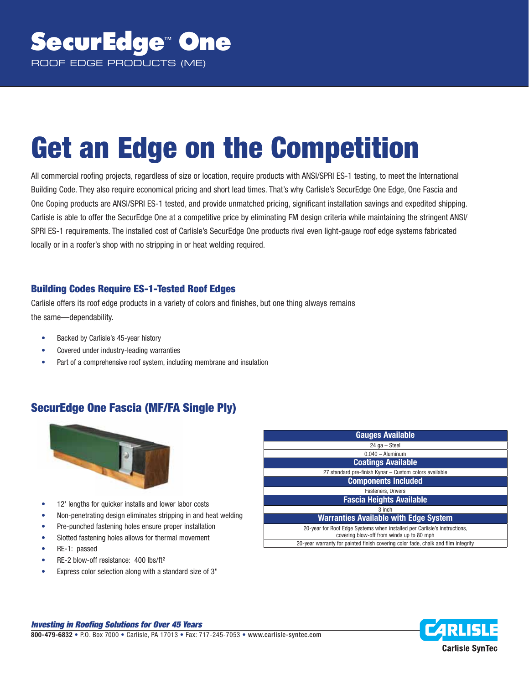# **Get an Edge on the Competition**

All commercial roofing projects, regardless of size or location, require products with ANSI/SPRI ES-1 testing, to meet the International Building Code. They also require economical pricing and short lead times. That's why Carlisle's SecurEdge One Edge, One Fascia and One Coping products are ANSI/SPRI ES-1 tested, and provide unmatched pricing, significant installation savings and expedited shipping. Carlisle is able to offer the SecurEdge One at a competitive price by eliminating FM design criteria while maintaining the stringent ANSI/ SPRI ES-1 requirements. The installed cost of Carlisle's SecurEdge One products rival even light-gauge roof edge systems fabricated locally or in a roofer's shop with no stripping in or heat welding required.

### **Building Codes Require ES-1-Tested Roof Edges**

Carlisle offers its roof edge products in a variety of colors and finishes, but one thing always remains the same—dependability.

- Backed by Carlisle's 45-year history
- Covered under industry-leading warranties
- Part of a comprehensive roof system, including membrane and insulation

## **SecurEdge One Fascia (MF/FA Single Ply)**



- 12' lengths for quicker installs and lower labor costs
- Non-penetrating design eliminates stripping in and heat welding
- Pre-punched fastening holes ensure proper installation
- Slotted fastening holes allows for thermal movement
- RE-1: passed
- RE-2 blow-off resistance: 400 lbs/ft<sup>2</sup>
- Express color selection along with a standard size of 3"

| <b>Gauges Available</b>                                                                                                |  |
|------------------------------------------------------------------------------------------------------------------------|--|
| 24 ga - Steel                                                                                                          |  |
| $0.040 -$ Aluminum                                                                                                     |  |
| <b>Coatings Available</b>                                                                                              |  |
| 27 standard pre-finish Kynar - Custom colors available                                                                 |  |
| <b>Components Included</b>                                                                                             |  |
| <b>Fasteners, Drivers</b>                                                                                              |  |
| <b>Fascia Heights Available</b>                                                                                        |  |
| 3 inch                                                                                                                 |  |
| <b>Warranties Available with Edge System</b>                                                                           |  |
| 20-year for Roof Edge Systems when installed per Carlisle's instructions,<br>covering blow-off from winds up to 80 mph |  |
| 20-year warranty for painted finish covering color fade, chalk and film integrity                                      |  |

#### *Investing in Roofi ng Solutions for Over 45 Years*